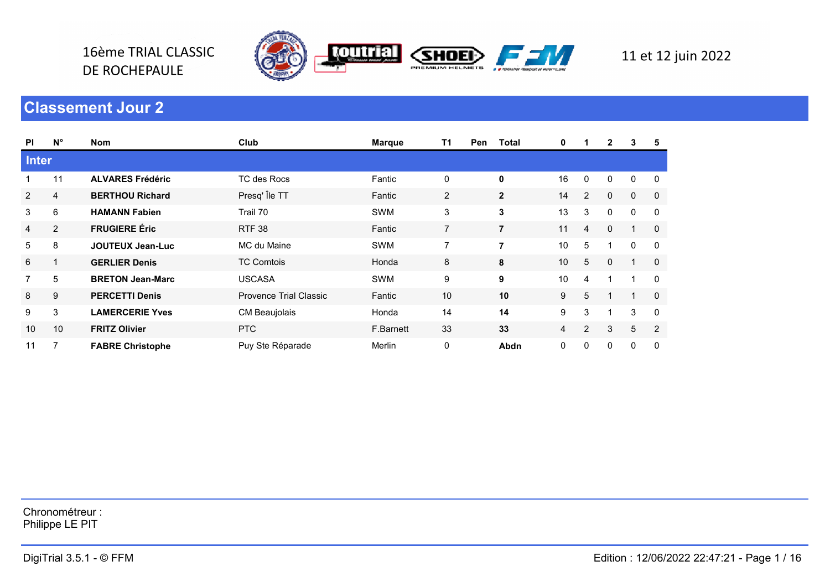

## $\Gamma$  , and the final 3.5.1  $\sim$  12/06/2022 22:47:21 -  $\sim$  12/06/2022 22:47:21 -  $\sim$  12/06/2022 22:47:21 -  $\sim$  12/06/2022 22:47:21 -  $\sim$  12/06/2022 22:47:21 -  $\sim$  12/06/2022 22:47:21 -  $\sim$  12/06/2022 22:47:21 -  $\sim$  Classement Jour 2

16ème TRIAL CLASSIC

DE ROCHEPAULE

| <b>PI</b>                 | $N^{\circ}$      | Nom                     | Club                   | <b>Marque</b> | T <sub>1</sub><br>Pen | <b>Total</b>     | 0              | $\mathbf 1$               | $\mathbf{2}$   | 3               | 5              |
|---------------------------|------------------|-------------------------|------------------------|---------------|-----------------------|------------------|----------------|---------------------------|----------------|-----------------|----------------|
| <b>Inter</b>              |                  |                         |                        |               |                       |                  |                |                           |                |                 |                |
| $\mathbf{1}$              | 11               | <b>ALVARES Frédéric</b> | TC des Rocs            | Fantic        | $\mathbf 0$           | $\pmb{0}$        | 16             | $\mathsf 0$               | 0              | $\pmb{0}$       | $\mathsf 0$    |
| $\overline{c}$            | $\overline{4}$   | <b>BERTHOU Richard</b>  | Presq' Île TT          | Fantic        | $\overline{2}$        | $\mathbf 2$      | 14             | $\overline{2}$            | $\mathbf 0$    | $\mathbf 0$     | $\overline{0}$ |
| $\ensuremath{\mathsf{3}}$ | 6                | <b>HAMANN Fabien</b>    | Trail 70               | SWM           | 3                     | $\mathbf 3$      | 13             | $\ensuremath{\mathsf{3}}$ | 0              | $\mathsf 0$     | 0              |
| 4                         | $\overline{2}$   | <b>FRUGIERE Éric</b>    | <b>RTF 38</b>          | Fantic        | $\overline{7}$        | $\overline{7}$   | 11             | $\overline{a}$            | $\mathbf 0$    | $\mathbf{1}$    | $\mathbf 0$    |
| $\sqrt{5}$                | 8                | <b>JOUTEUX Jean-Luc</b> | MC du Maine            | SWM           | $\overline{7}$        | $\overline{7}$   | 10             | $\overline{5}$            | $\mathbf{1}$   | $\pmb{0}$       | $\mathbf 0$    |
| 6                         | $\mathbf{1}$     | <b>GERLIER Denis</b>    | <b>TC Comtois</b>      | Honda         | 8                     | 8                | $10$           | $5\,$                     | 0              | $\mathbf{1}$    | $\mathbf 0$    |
| $\overline{7}$            | 5                | <b>BRETON Jean-Marc</b> | <b>USCASA</b>          | SWM           | 9                     | $\boldsymbol{9}$ | $10$           | $\overline{4}$            | $\mathbf{1}$   | $\mathbf{1}$    | 0              |
| $\bf 8$                   | $\boldsymbol{9}$ | <b>PERCETTI Denis</b>   | Provence Trial Classic | Fantic        | 10                    | 10               | 9              | 5                         | $\mathbf{1}$   | $\mathbf{1}$    | $\mathbf 0$    |
| 9                         | 3                | <b>LAMERCERIE Yves</b>  | CM Beaujolais          | Honda         | 14                    | 14               | 9              | 3                         | 1              | $\mathfrak{S}$  | 0              |
| 10                        | 10               | <b>FRITZ Olivier</b>    | <b>PTC</b>             | F.Barnett     | 33                    | 33               | $\overline{4}$ | $\overline{c}$            | $\mathfrak{S}$ | $5\phantom{.0}$ | $\overline{2}$ |
| 11                        | $\overline{7}$   | <b>FABRE Christophe</b> | Puy Ste Réparade       | Merlin        | 0                     | Abdn             | 0              | $\mathbf 0$               | 0              | 0               | $\mathsf 0$    |
|                           |                  |                         |                        |               |                       |                  |                |                           |                |                 |                |
|                           |                  |                         |                        |               |                       |                  |                |                           |                |                 |                |
|                           |                  |                         |                        |               |                       |                  |                |                           |                |                 |                |
|                           |                  |                         |                        |               |                       |                  |                |                           |                |                 |                |
|                           |                  |                         |                        |               |                       |                  |                |                           |                |                 |                |
|                           |                  |                         |                        |               |                       |                  |                |                           |                |                 |                |
|                           |                  |                         |                        |               |                       |                  |                |                           |                |                 |                |
|                           |                  |                         |                        |               |                       |                  |                |                           |                |                 |                |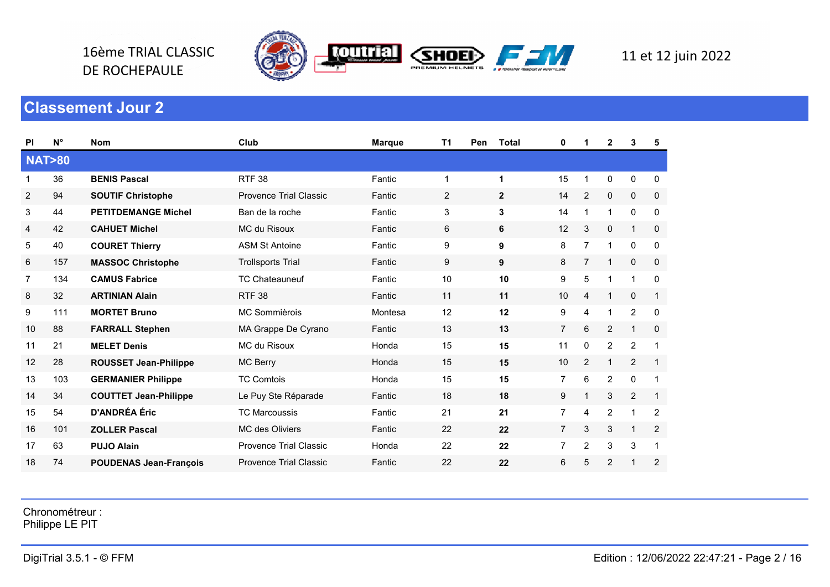

DE ROCHEPAULE

| <b>PI</b>      | $N^{\circ}$      | <b>Nom</b>                    | Club                          | <b>Marque</b> | T1 | Pen | <b>Total</b> | 0              | 1              | $\mathbf{2}$   | 3              | 5              |
|----------------|------------------|-------------------------------|-------------------------------|---------------|----|-----|--------------|----------------|----------------|----------------|----------------|----------------|
|                | <b>NAT&gt;80</b> |                               |                               |               |    |     |              |                |                |                |                |                |
|                | 36               | <b>BENIS Pascal</b>           | <b>RTF 38</b>                 | Fantic        | 1  |     | 1            | 15             | 1              | 0              | 0              | $\mathbf 0$    |
| $\overline{c}$ | 94               | <b>SOUTIF Christophe</b>      | <b>Provence Trial Classic</b> | Fantic        | 2  |     | $\mathbf{2}$ | 14             | $\overline{2}$ | 0              | 0              | 0              |
| 3              | 44               | <b>PETITDEMANGE Michel</b>    | Ban de la roche               | Fantic        | 3  |     | 3            | 14             | 1              | 1              | $\mathbf 0$    | 0              |
| 4              | 42               | <b>CAHUET Michel</b>          | MC du Risoux                  | Fantic        | 6  |     | 6            | 12             | 3              | 0              | $\mathbf 1$    | $\mathbf 0$    |
| 5              | 40               | <b>COURET Thierry</b>         | <b>ASM St Antoine</b>         | Fantic        | 9  |     | 9            | 8              | $\overline{7}$ | 1              | $\mathbf 0$    | $\mathbf 0$    |
| 6              | 157              | <b>MASSOC Christophe</b>      | <b>Trollsports Trial</b>      | Fantic        | 9  |     | 9            | 8              | $\overline{7}$ | $\mathbf{1}$   | 0              | $\mathbf 0$    |
| 7              | 134              | <b>CAMUS Fabrice</b>          | <b>TC Chateauneuf</b>         | Fantic        | 10 |     | 10           | 9              | 5              | 1              | $\overline{1}$ | $\mathbf{0}$   |
| 8              | 32               | <b>ARTINIAN Alain</b>         | <b>RTF 38</b>                 | Fantic        | 11 |     | 11           | 10             | $\overline{4}$ | $\mathbf{1}$   | $\mathbf 0$    | $\mathbf{1}$   |
| 9              | 111              | <b>MORTET Bruno</b>           | MC Sommièrois                 | Montesa       | 12 |     | 12           | 9              | 4              | $\mathbf{1}$   | $\overline{c}$ | 0              |
| 10             | 88               | <b>FARRALL Stephen</b>        | MA Grappe De Cyrano           | Fantic        | 13 |     | 13           | $\overline{7}$ | 6              | $\overline{2}$ | 1              | 0              |
| 11             | 21               | <b>MELET Denis</b>            | MC du Risoux                  | Honda         | 15 |     | 15           | 11             | $\mathbf 0$    | $\overline{2}$ | 2              |                |
| 12             | 28               | <b>ROUSSET Jean-Philippe</b>  | MC Berry                      | Honda         | 15 |     | 15           | 10             | $\overline{c}$ | 1              | 2              | $\mathbf{1}$   |
| 13             | 103              | <b>GERMANIER Philippe</b>     | <b>TC Comtois</b>             | Honda         | 15 |     | 15           | $\overline{7}$ | 6              | $\overline{2}$ | 0              | 1              |
| 14             | 34               | <b>COUTTET Jean-Philippe</b>  | Le Puy Ste Réparade           | Fantic        | 18 |     | 18           | 9              | 1              | 3              | 2              | $\mathbf{1}$   |
| 15             | 54               | <b>D'ANDRÉA Éric</b>          | <b>TC Marcoussis</b>          | Fantic        | 21 |     | 21           | 7              | 4              | $\overline{2}$ | -1             | $\overline{2}$ |
| 16             | 101              | <b>ZOLLER Pascal</b>          | <b>MC</b> des Oliviers        | Fantic        | 22 |     | 22           | $\overline{7}$ | 3              | 3              | $\mathbf{1}$   | 2              |
| 17             | 63               | <b>PUJO Alain</b>             | <b>Provence Trial Classic</b> | Honda         | 22 |     | 22           | 7              | 2              | 3              | 3              |                |
| 18             | 74               | <b>POUDENAS Jean-François</b> | <b>Provence Trial Classic</b> | Fantic        | 22 |     | 22           | 6              | 5              | $\overline{c}$ | $\overline{1}$ | $\overline{c}$ |

Chronométreur :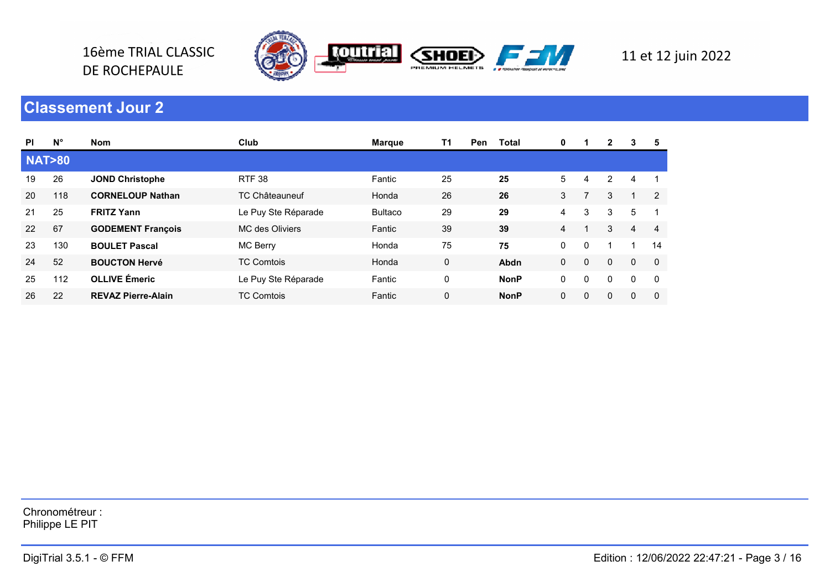

16ème TRIAL CLASSIC

DE ROCHEPAULE

| <b>PI</b>        | $N^{\circ}$ | <b>Nom</b>                | Club                  | <b>Marque</b>  | T1 | Pen | Total       | 0 |              | $\mathbf{2}$   | 3            | 5              |
|------------------|-------------|---------------------------|-----------------------|----------------|----|-----|-------------|---|--------------|----------------|--------------|----------------|
| <b>NAT&gt;80</b> |             |                           |                       |                |    |     |             |   |              |                |              |                |
| 19               | 26          | <b>JOND Christophe</b>    | <b>RTF 38</b>         | Fantic         | 25 |     | 25          | 5 | 4            | $\overline{2}$ | 4            |                |
| 20               | 118         | <b>CORNELOUP Nathan</b>   | <b>TC Châteauneuf</b> | Honda          | 26 |     | 26          | 3 |              | 3              | 1            | $\overline{2}$ |
| 21               | 25          | <b>FRITZ Yann</b>         | Le Puy Ste Réparade   | <b>Bultaco</b> | 29 |     | 29          | 4 | 3            | 3              | 5            |                |
| 22               | 67          | <b>GODEMENT François</b>  | MC des Oliviers       | Fantic         | 39 |     | 39          | 4 |              | 3              | 4            | 4              |
| 23               | 130         | <b>BOULET Pascal</b>      | MC Berry              | Honda          | 75 |     | 75          | 0 | $\mathbf{0}$ |                |              | 14             |
| 24               | 52          | <b>BOUCTON Hervé</b>      | <b>TC Comtois</b>     | Honda          | 0  |     | Abdn        | 0 | $\mathbf 0$  | 0              | $\mathbf{0}$ | $\overline{0}$ |
| 25               | 112         | <b>OLLIVE Émeric</b>      | Le Puy Ste Réparade   | Fantic         | 0  |     | <b>NonP</b> | 0 | $\mathbf{0}$ | $\Omega$       | $\mathbf{0}$ | $\Omega$       |
| 26               | 22          | <b>REVAZ Pierre-Alain</b> | <b>TC Comtois</b>     | Fantic         | 0  |     | <b>NonP</b> | 0 | 0            | 0              | $\mathbf{0}$ | $\Omega$       |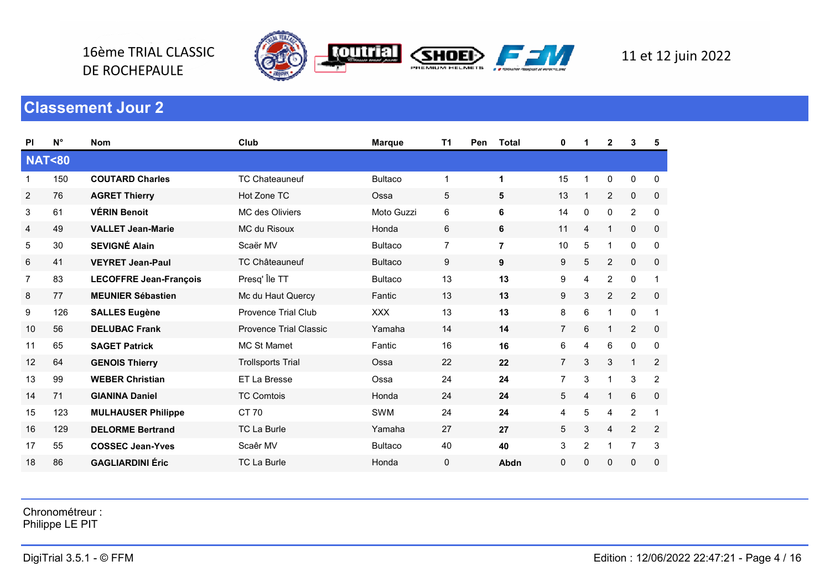

16ème TRIAL CLASSIC

DE ROCHEPAULE

| <b>PI</b>        | $N^{\circ}$ | <b>Nom</b>                    | Club                          | <b>Marque</b>  | T1             | Pen | <b>Total</b>   | 0              | 1              | 2              | 3              | 5            |
|------------------|-------------|-------------------------------|-------------------------------|----------------|----------------|-----|----------------|----------------|----------------|----------------|----------------|--------------|
| <b>NAT&lt;80</b> |             |                               |                               |                |                |     |                |                |                |                |                |              |
| -1               | 150         | <b>COUTARD Charles</b>        | <b>TC Chateauneuf</b>         | <b>Bultaco</b> | $\mathbf 1$    |     | 1              | 15             | $\mathbf 1$    | 0              | 0              | 0            |
| $\overline{2}$   | 76          | <b>AGRET Thierry</b>          | Hot Zone TC                   | Ossa           | 5              |     | 5              | 13             | 1              | $\overline{2}$ | 0              | $\mathbf 0$  |
| 3                | 61          | <b>VÉRIN Benoit</b>           | <b>MC</b> des Oliviers        | Moto Guzzi     | 6              |     | 6              | 14             | 0              | 0              | $\overline{2}$ | 0            |
| 4                | 49          | <b>VALLET Jean-Marie</b>      | MC du Risoux                  | Honda          | 6              |     | 6              | 11             | 4              | 1              | $\mathbf{0}$   | $\mathbf 0$  |
| 5                | 30          | <b>SEVIGNÉ Alain</b>          | Scaër MV                      | <b>Bultaco</b> | $\overline{7}$ |     | $\overline{7}$ | 10             | 5              | 1              | $\mathbf 0$    | 0            |
| 6                | 41          | <b>VEYRET Jean-Paul</b>       | <b>TC Châteauneuf</b>         | <b>Bultaco</b> | 9              |     | 9              | 9              | 5              | $\overline{2}$ | 0              | 0            |
| 7                | 83          | <b>LECOFFRE Jean-François</b> | Presq' Île TT                 | <b>Bultaco</b> | 13             |     | 13             | 9              | 4              | $\overline{2}$ | $\mathbf 0$    | $\mathbf{1}$ |
| 8                | 77          | <b>MEUNIER Sébastien</b>      | Mc du Haut Quercy             | Fantic         | 13             |     | 13             | 9              | 3              | $\overline{2}$ | $\overline{2}$ | $\mathbf 0$  |
| 9                | 126         | <b>SALLES Eugène</b>          | <b>Provence Trial Club</b>    | <b>XXX</b>     | 13             |     | 13             | 8              | 6              | 1              | $\pmb{0}$      | $\mathbf{1}$ |
| 10               | 56          | <b>DELUBAC Frank</b>          | <b>Provence Trial Classic</b> | Yamaha         | 14             |     | 14             | $\overline{7}$ | 6              | $\mathbf{1}$   | $\overline{2}$ | $\mathbf 0$  |
| 11               | 65          | <b>SAGET Patrick</b>          | <b>MC St Mamet</b>            | Fantic         | 16             |     | 16             | 6              | $\overline{4}$ | 6              | $\mathbf 0$    | $\mathbf{0}$ |
| 12               | 64          | <b>GENOIS Thierry</b>         | <b>Trollsports Trial</b>      | Ossa           | 22             |     | 22             | $\overline{7}$ | 3              | 3              | $\mathbf{1}$   | $\mathbf{2}$ |
| 13               | 99          | <b>WEBER Christian</b>        | ET La Bresse                  | Ossa           | 24             |     | 24             | 7              | 3              | 1              | 3              | 2            |
| 14               | 71          | <b>GIANINA Daniel</b>         | <b>TC Comtois</b>             | Honda          | 24             |     | 24             | 5              | 4              | $\mathbf{1}$   | 6              | $\mathbf 0$  |
| 15               | 123         | <b>MULHAUSER Philippe</b>     | CT 70                         | <b>SWM</b>     | 24             |     | 24             | 4              | 5              | 4              | $\overline{2}$ | $\mathbf{1}$ |
| 16               | 129         | <b>DELORME Bertrand</b>       | <b>TC La Burle</b>            | Yamaha         | 27             |     | 27             | 5              | 3              | 4              | $\overline{2}$ | $\mathbf{2}$ |
| 17               | 55          | <b>COSSEC Jean-Yves</b>       | Scaêr MV                      | <b>Bultaco</b> | 40             |     | 40             | 3              | $\overline{2}$ | 1              | $\overline{7}$ | 3            |
| 18               | 86          | <b>GAGLIARDINI Éric</b>       | <b>TC La Burle</b>            | Honda          | 0              |     | Abdn           | 0              | $\mathbf 0$    | 0              | $\pmb{0}$      | 0            |

Chronométreur :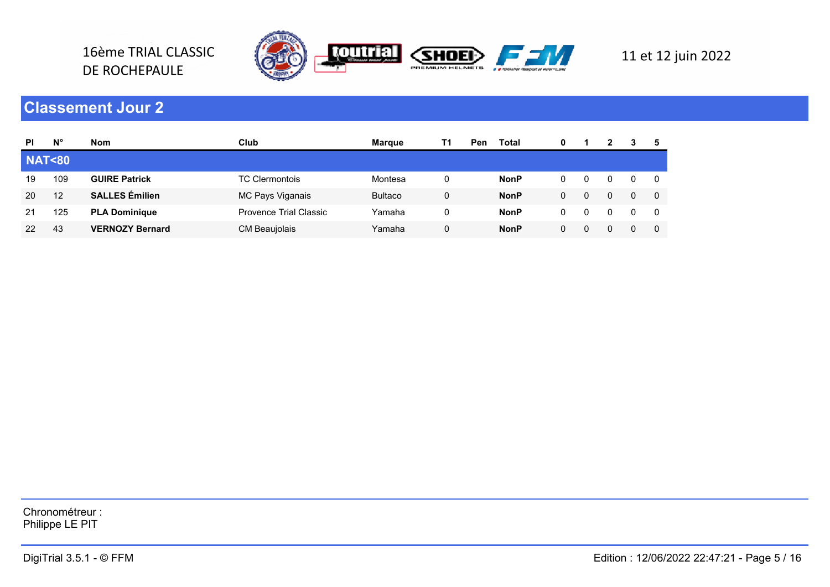

16ème TRIAL CLASSIC

DE ROCHEPAULE

| <b>PI</b>        | Ν°  | <b>Nom</b>             | Club                   | Marque         | Τ1 | Pen | Total       | 0 |   |  |  |
|------------------|-----|------------------------|------------------------|----------------|----|-----|-------------|---|---|--|--|
| <b>NAT&lt;80</b> |     |                        |                        |                |    |     |             |   |   |  |  |
| 19               | 109 | <b>GUIRE Patrick</b>   | <b>TC Clermontois</b>  | Montesa        | 0  |     | <b>NonP</b> |   |   |  |  |
| 20               | 12  | <b>SALLES</b> Émilien  | MC Pays Viganais       | <b>Bultaco</b> | 0  |     | <b>NonP</b> |   | 0 |  |  |
| 21               | 125 | <b>PLA Dominique</b>   | Provence Trial Classic | Yamaha         |    |     | <b>NonP</b> |   | 0 |  |  |
| 22               | 43  | <b>VERNOZY Bernard</b> | CM Beaujolais          | Yamaha         |    |     | <b>NonP</b> |   | 0 |  |  |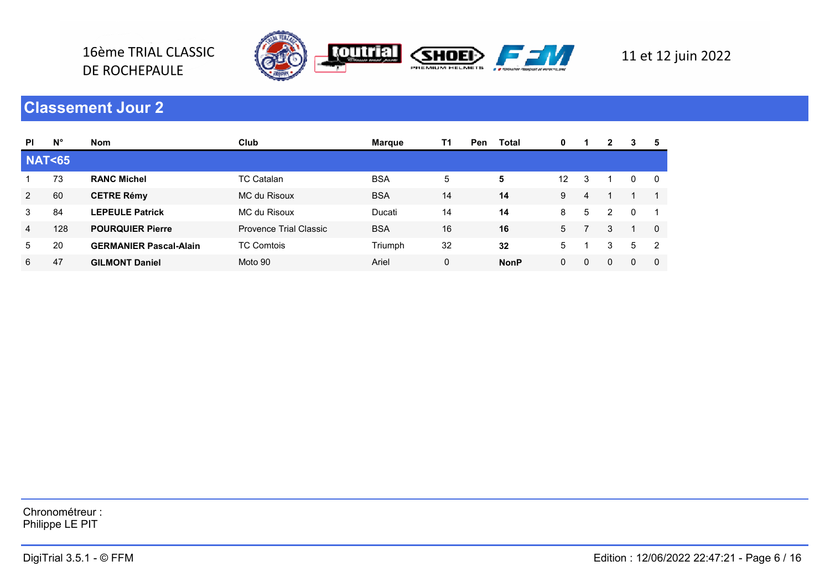

16ème TRIAL CLASSIC

DE ROCHEPAULE

| <b>PI</b>        | $N^{\circ}$ | <b>Nom</b>                    | Club                   | <b>Margue</b> | T1       | <b>Pen</b> | Total       | 0  |   | 2 | 3            | 5        |
|------------------|-------------|-------------------------------|------------------------|---------------|----------|------------|-------------|----|---|---|--------------|----------|
| <b>NAT&lt;65</b> |             |                               |                        |               |          |            |             |    |   |   |              |          |
|                  | 73          | <b>RANC Michel</b>            | <b>TC Catalan</b>      | <b>BSA</b>    | 5        |            | 5           | 12 | 3 |   | 0            | - 0      |
| 2                | 60          | <b>CETRE Rémy</b>             | MC du Risoux           | <b>BSA</b>    | 14       |            | 14          | 9  | 4 |   |              |          |
| 3                | 84          | <b>LEPEULE Patrick</b>        | MC du Risoux           | Ducati        | 14       |            | 14          | 8  | 5 | 2 | $\mathbf{0}$ |          |
| 4                | 128         | <b>POURQUIER Pierre</b>       | Provence Trial Classic | <b>BSA</b>    | 16       |            | 16          | 5  |   | 3 |              | $\Omega$ |
| 5                | 20          | <b>GERMANIER Pascal-Alain</b> | <b>TC Comtois</b>      | Triumph       | 32       |            | 32          | 5  |   | 3 | 5            | 2        |
| 6                | 47          | <b>GILMONT Daniel</b>         | Moto 90                | Ariel         | $\Omega$ |            | <b>NonP</b> | 0  | 0 | 0 | $\mathbf{0}$ | $\Omega$ |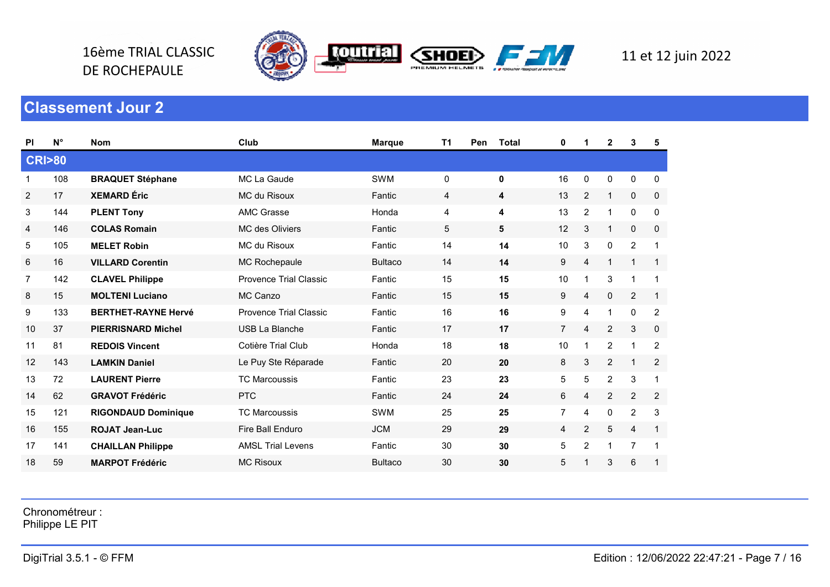

16ème TRIAL CLASSIC

DE ROCHEPAULE

| <b>PI</b>        | $N^{\circ}$ | <b>Nom</b>                 | Club                     | <b>Marque</b>  | T1 | Pen | <b>Total</b> | 0              | 1              | 2              | 3                       | 5              |
|------------------|-------------|----------------------------|--------------------------|----------------|----|-----|--------------|----------------|----------------|----------------|-------------------------|----------------|
| <b>CRI&gt;80</b> |             |                            |                          |                |    |     |              |                |                |                |                         |                |
| 1                | 108         | <b>BRAQUET Stéphane</b>    | MC La Gaude              | <b>SWM</b>     | 0  |     | $\mathbf 0$  | 16             | 0              | 0              | 0                       | 0              |
| $\overline{2}$   | 17          | <b>XEMARD</b> Éric         | MC du Risoux             | Fantic         | 4  |     | 4            | 13             | $\overline{2}$ | $\mathbf{1}$   | 0                       | $\mathbf 0$    |
| 3                | 144         | <b>PLENT Tony</b>          | <b>AMC Grasse</b>        | Honda          | 4  |     | 4            | 13             | $\overline{c}$ | 1              | 0                       | 0              |
| 4                | 146         | <b>COLAS Romain</b>        | <b>MC</b> des Oliviers   | Fantic         | 5  |     | 5            | 12             | 3              | 1              | $\mathbf 0$             | $\mathbf 0$    |
| 5                | 105         | <b>MELET Robin</b>         | MC du Risoux             | Fantic         | 14 |     | 14           | 10             | 3              | 0              | $\overline{2}$          | 1              |
| 6                | 16          | <b>VILLARD Corentin</b>    | <b>MC Rochepaule</b>     | <b>Bultaco</b> | 14 |     | 14           | 9              | $\overline{4}$ | 1              | $\overline{\mathbf{1}}$ | $\mathbf{1}$   |
| 7                | 142         | <b>CLAVEL Philippe</b>     | Provence Trial Classic   | Fantic         | 15 |     | 15           | 10             | $\mathbf 1$    | 3              | $\overline{1}$          | 1              |
| 8                | 15          | <b>MOLTENI Luciano</b>     | MC Canzo                 | Fantic         | 15 |     | 15           | 9              | 4              | $\mathbf 0$    | $\overline{2}$          | $\mathbf{1}$   |
| 9                | 133         | <b>BERTHET-RAYNE Hervé</b> | Provence Trial Classic   | Fantic         | 16 |     | 16           | 9              | 4              | 1              | $\pmb{0}$               | $\overline{2}$ |
| 10               | 37          | <b>PIERRISNARD Michel</b>  | <b>USB La Blanche</b>    | Fantic         | 17 |     | 17           | $\overline{7}$ | $\overline{4}$ | $\overline{2}$ | 3                       | 0              |
| 11               | 81          | <b>REDOIS Vincent</b>      | Cotière Trial Club       | Honda          | 18 |     | 18           | 10             | 1              | 2              | 1                       | 2              |
| 12               | 143         | <b>LAMKIN Daniel</b>       | Le Puy Ste Réparade      | Fantic         | 20 |     | 20           | 8              | 3              | $\overline{c}$ | $\overline{1}$          | $\overline{c}$ |
| 13               | 72          | <b>LAURENT Pierre</b>      | <b>TC Marcoussis</b>     | Fantic         | 23 |     | 23           | 5              | 5              | $\overline{2}$ | 3                       | $\mathbf{1}$   |
| 14               | 62          | <b>GRAVOT Frédéric</b>     | <b>PTC</b>               | Fantic         | 24 |     | 24           | 6              | 4              | $\overline{2}$ | $\overline{2}$          | 2              |
| 15               | 121         | <b>RIGONDAUD Dominique</b> | <b>TC Marcoussis</b>     | <b>SWM</b>     | 25 |     | 25           | 7              | 4              | 0              | $\overline{2}$          | 3              |
| 16               | 155         | <b>ROJAT Jean-Luc</b>      | Fire Ball Enduro         | <b>JCM</b>     | 29 |     | 29           | 4              | $\overline{2}$ | 5              | 4                       | $\mathbf{1}$   |
| 17               | 141         | <b>CHAILLAN Philippe</b>   | <b>AMSL Trial Levens</b> | Fantic         | 30 |     | 30           | 5              | $\overline{2}$ | 1              | $\overline{7}$          |                |
| 18               | 59          | <b>MARPOT Frédéric</b>     | <b>MC Risoux</b>         | <b>Bultaco</b> | 30 |     | 30           | 5              |                | 3              | 6                       |                |

Chronométreur :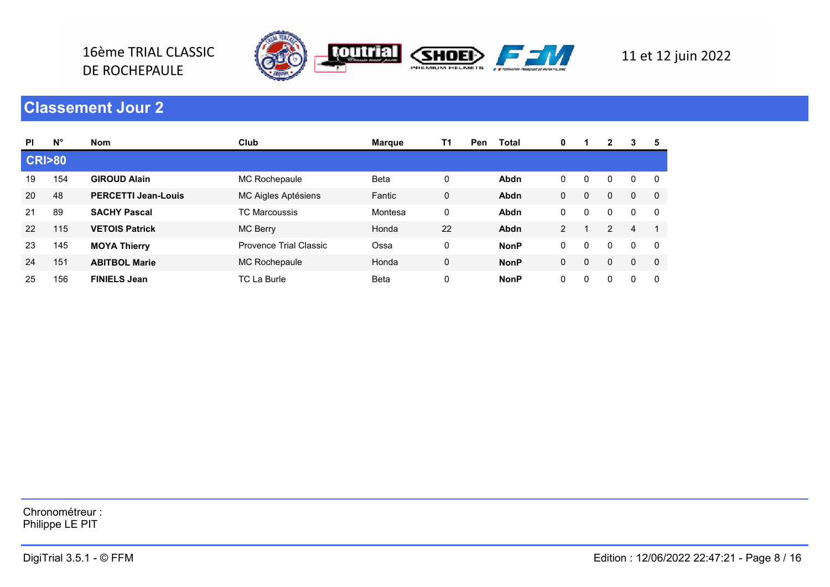

16ème TRIAL CLASSIC

DE ROCHEPAULE

| <b>PI</b>        | $N^{\circ}$ | <b>Nom</b>                 | Club                   | <b>Margue</b> | T1          | <b>Pen</b> | <b>Total</b> | 0              |              | 2 | 3            | 5   |
|------------------|-------------|----------------------------|------------------------|---------------|-------------|------------|--------------|----------------|--------------|---|--------------|-----|
| <b>CRI&gt;80</b> |             |                            |                        |               |             |            |              |                |              |   |              |     |
| 19               | 154         | <b>GIROUD Alain</b>        | MC Rochepaule          | <b>Beta</b>   | 0           |            | Abdn         | 0              | $\Omega$     | 0 | $\Omega$     | 0   |
| 20               | 48          | <b>PERCETTI Jean-Louis</b> | MC Aigles Aptésiens    | Fantic        | $\mathbf 0$ |            | Abdn         | 0              | $\Omega$     | 0 | $\mathbf 0$  | 0   |
| 21               | 89          | <b>SACHY Pascal</b>        | <b>TC Marcoussis</b>   | Montesa       | $\mathbf 0$ |            | Abdn         | 0              | $\mathbf{0}$ | 0 | $\mathbf{0}$ | - 0 |
| 22               | 115         | <b>VETOIS Patrick</b>      | MC Berry               | Honda         | 22          |            | Abdn         | $\overline{2}$ |              | 2 | 4            |     |
| 23               | 145         | <b>MOYA Thierry</b>        | Provence Trial Classic | Ossa          | $\mathbf 0$ |            | <b>NonP</b>  | 0              |              | 0 | $\mathbf{0}$ | - 0 |
| 24               | 151         | <b>ABITBOL Marie</b>       | MC Rochepaule          | Honda         | 0           |            | <b>NonP</b>  | 0              | $\Omega$     | 0 | $\Omega$     | 0   |
| 25               | 156         | <b>FINIELS Jean</b>        | <b>TC La Burle</b>     | <b>Beta</b>   | 0           |            | <b>NonP</b>  | 0              |              | 0 | 0            | 0   |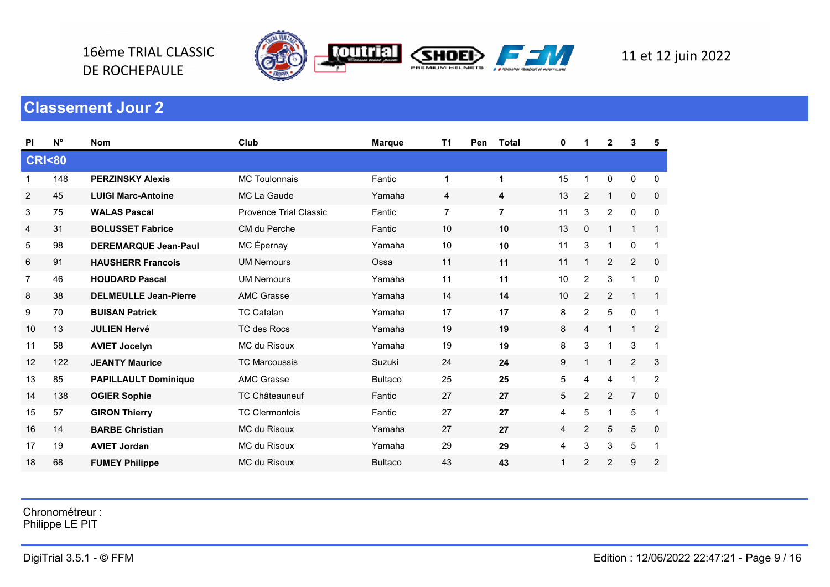



| <b>PI</b>        | $N^{\circ}$ | <b>Nom</b>                   | Club                          | <b>Marque</b>  | T1<br><b>Pen</b> | <b>Total</b>            | 0  | 1              | $\mathbf{2}$   | 3              | 5              |
|------------------|-------------|------------------------------|-------------------------------|----------------|------------------|-------------------------|----|----------------|----------------|----------------|----------------|
| <b>CRI&lt;80</b> |             |                              |                               |                |                  |                         |    |                |                |                |                |
| 1                | 148         | <b>PERZINSKY Alexis</b>      | <b>MC Toulonnais</b>          | Fantic         | 1                | $\mathbf{1}$            | 15 | 1              | 0              | 0              | 0              |
| $\overline{2}$   | 45          | <b>LUIGI Marc-Antoine</b>    | MC La Gaude                   | Yamaha         | 4                | 4                       | 13 | $\mathbf{2}$   | $\mathbf{1}$   | 0              | $\mathbf 0$    |
| 3                | 75          | <b>WALAS Pascal</b>          | <b>Provence Trial Classic</b> | Fantic         | 7                | $\overline{\mathbf{r}}$ | 11 | 3              | $\overline{c}$ | 0              | 0              |
| 4                | 31          | <b>BOLUSSET Fabrice</b>      | CM du Perche                  | Fantic         | 10               | 10                      | 13 | 0              | 1              | $\mathbf 1$    | $\mathbf{1}$   |
| 5                | 98          | <b>DEREMARQUE Jean-Paul</b>  | MC Épernay                    | Yamaha         | 10               | 10                      | 11 | 3              | 1              | $\mathbf 0$    | $\mathbf{1}$   |
| $\,6$            | 91          | <b>HAUSHERR Francois</b>     | <b>UM Nemours</b>             | Ossa           | 11               | 11                      | 11 | 1              | $\overline{c}$ | $\overline{2}$ | $\mathbf 0$    |
| 7                | 46          | <b>HOUDARD Pascal</b>        | <b>UM Nemours</b>             | Yamaha         | 11               | 11                      | 10 | 2              | 3              | $\overline{1}$ | 0              |
| 8                | 38          | <b>DELMEULLE Jean-Pierre</b> | <b>AMC Grasse</b>             | Yamaha         | 14               | 14                      | 10 | $\overline{c}$ | $\overline{2}$ | $\mathbf{1}$   | $\mathbf{1}$   |
| 9                | 70          | <b>BUISAN Patrick</b>        | <b>TC Catalan</b>             | Yamaha         | 17               | 17                      | 8  | $\overline{c}$ | $\mathbf 5$    | $\pmb{0}$      | $\mathbf{1}$   |
| 10               | 13          | <b>JULIEN Hervé</b>          | TC des Rocs                   | Yamaha         | 19               | 19                      | 8  | 4              | 1              | $\mathbf{1}$   | $\overline{2}$ |
| 11               | 58          | <b>AVIET Jocelyn</b>         | MC du Risoux                  | Yamaha         | 19               | 19                      | 8  | 3              | 1              | 3              |                |
| 12               | 122         | <b>JEANTY Maurice</b>        | <b>TC Marcoussis</b>          | Suzuki         | 24               | 24                      | 9  | 1              | 1              | 2              | 3              |
| 13               | 85          | <b>PAPILLAULT Dominique</b>  | <b>AMC Grasse</b>             | <b>Bultaco</b> | 25               | 25                      | 5  | 4              | 4              | $\mathbf 1$    | 2              |
| 14               | 138         | <b>OGIER Sophie</b>          | <b>TC Châteauneuf</b>         | Fantic         | 27               | 27                      | 5  | $\overline{2}$ | $\overline{2}$ | $\overline{7}$ | $\mathbf 0$    |
| 15               | 57          | <b>GIRON Thierry</b>         | <b>TC Clermontois</b>         | Fantic         | 27               | 27                      | 4  | 5              | 1              | $\overline{5}$ | $\mathbf 1$    |
| 16               | 14          | <b>BARBE Christian</b>       | MC du Risoux                  | Yamaha         | 27               | 27                      | 4  | $\overline{c}$ | 5              | $\overline{5}$ | 0              |
| 17               | 19          | <b>AVIET Jordan</b>          | <b>MC du Risoux</b>           | Yamaha         | 29               | 29                      | 4  | 3              | 3              | 5              | $\mathbf 1$    |
| 18               | 68          | <b>FUMEY Philippe</b>        | <b>MC du Risoux</b>           | <b>Bultaco</b> | 43               | 43                      | 1  | $\overline{2}$ | 2              | 9              | $\overline{2}$ |

Chronométreur :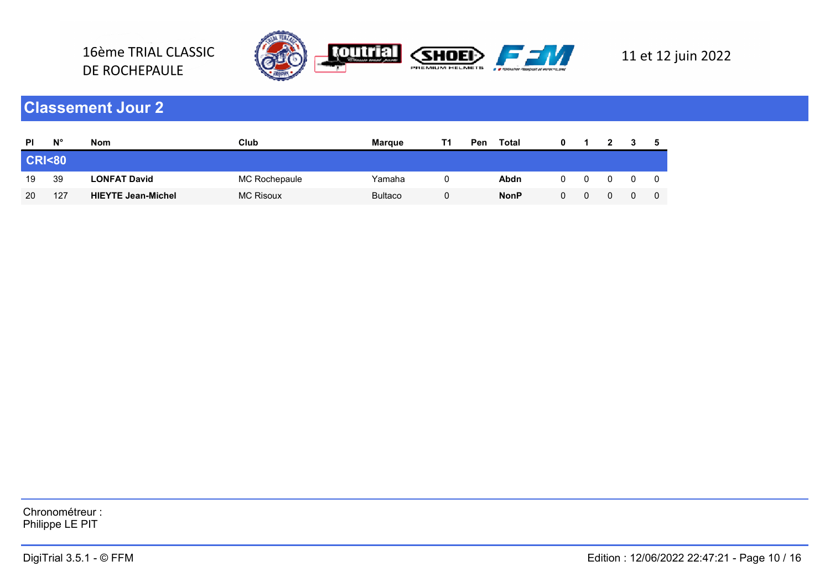

16ème TRIAL CLASSIC

DE ROCHEPAULE

| <b>PI</b>        | $N^{\circ}$ | <b>Nom</b>                | Club             | <b>Margue</b>  | Pen | Total       |  |  |  |
|------------------|-------------|---------------------------|------------------|----------------|-----|-------------|--|--|--|
| <b>CRI&lt;80</b> |             |                           |                  |                |     |             |  |  |  |
| 19               | 39          | <b>LONFAT David</b>       | MC Rochepaule    | Yamaha         |     | Abdn        |  |  |  |
| 20               | 127         | <b>HIEYTE Jean-Michel</b> | <b>MC Risoux</b> | <b>Bultaco</b> |     | <b>NonP</b> |  |  |  |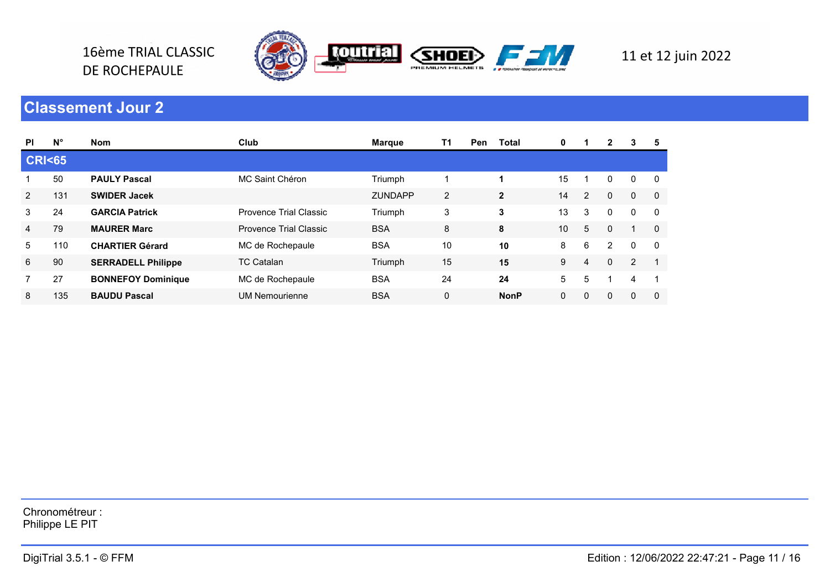

16ème TRIAL CLASSIC

DE ROCHEPAULE

| <b>PI</b>        | $N^{\circ}$ | <b>Nom</b>                | Club                   | <b>Marque</b>  | T1 | Pen | Total        | $\mathbf 0$  | 1.             | $\mathbf{2}$   | 3              | 5              |
|------------------|-------------|---------------------------|------------------------|----------------|----|-----|--------------|--------------|----------------|----------------|----------------|----------------|
| <b>CRI&lt;65</b> |             |                           |                        |                |    |     |              |              |                |                |                |                |
|                  | 50          | <b>PAULY Pascal</b>       | MC Saint Chéron        | Triumph        |    |     |              | 15           |                | 0              | $\Omega$       | - 0            |
| 2                | 131         | <b>SWIDER Jacek</b>       |                        | <b>ZUNDAPP</b> | 2  |     | $\mathbf{2}$ | 14           | $\overline{2}$ | $\mathbf{0}$   | $\mathbf{0}$   | $\overline{0}$ |
| 3                | 24          | <b>GARCIA Patrick</b>     | Provence Trial Classic | Triumph        | 3  |     | 3            | 13           | 3              | 0              | $\mathbf{0}$   | - 0            |
| $\overline{4}$   | 79          | <b>MAURER Marc</b>        | Provence Trial Classic | <b>BSA</b>     | 8  |     | 8            | 10           | 5              | $\Omega$       |                | $\overline{0}$ |
| 5                | 110         | <b>CHARTIER Gérard</b>    | MC de Rochepaule       | <b>BSA</b>     | 10 |     | 10           | 8            | 6              | $\overline{2}$ | $\mathbf{0}$   | - 0            |
| 6                | 90          | <b>SERRADELL Philippe</b> | <b>TC Catalan</b>      | Triumph        | 15 |     | 15           | 9            | 4              | $\Omega$       | $\overline{2}$ |                |
| 7                | 27          | <b>BONNEFOY Dominique</b> | MC de Rochepaule       | <b>BSA</b>     | 24 |     | 24           | 5            | 5              |                | 4              |                |
| 8                | 135         | <b>BAUDU Pascal</b>       | <b>UM Nemourienne</b>  | <b>BSA</b>     | 0  |     | <b>NonP</b>  | $\mathbf{0}$ | $\Omega$       | 0              | $\mathbf{0}$   | $\Omega$       |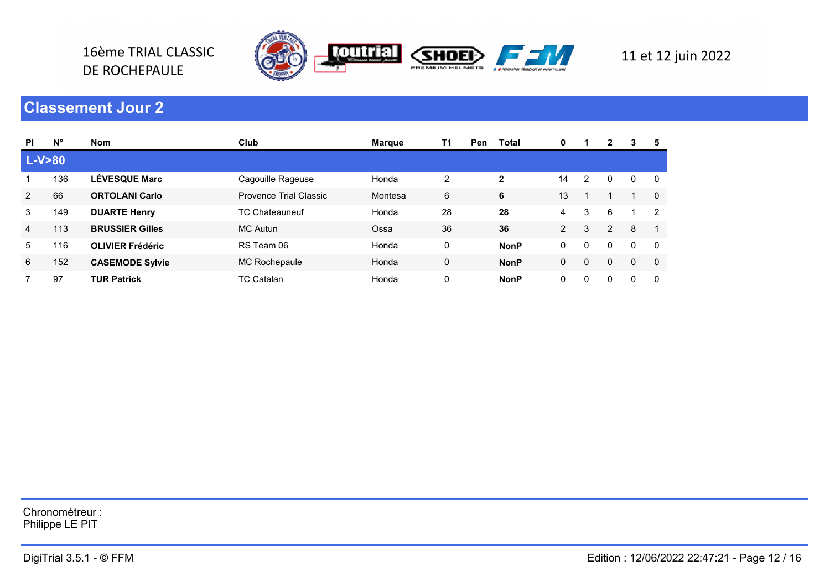

16ème TRIAL CLASSIC

DE ROCHEPAULE

| <b>PI</b> | $N^{\circ}$ | <b>Nom</b>              | Club                   | Marque  | T1 | <b>Pen</b> | <b>Total</b> | 0            |          | 2              | 3            | 5             |
|-----------|-------------|-------------------------|------------------------|---------|----|------------|--------------|--------------|----------|----------------|--------------|---------------|
| L-V>80    |             |                         |                        |         |    |            |              |              |          |                |              |               |
|           | 136         | <b>LÉVESQUE Marc</b>    | Cagouille Rageuse      | Honda   | 2  |            | $\mathbf{2}$ | 14           | 2        | 0              | 0            | 0             |
| 2         | 66          | <b>ORTOLANI Carlo</b>   | Provence Trial Classic | Montesa | 6  |            | 6            | 13           |          |                |              | $\Omega$      |
| 3         | 149         | <b>DUARTE Henry</b>     | <b>TC Chateauneuf</b>  | Honda   | 28 |            | 28           | 4            | 3        | 6              |              | $\mathcal{P}$ |
| 4         | 113         | <b>BRUSSIER Gilles</b>  | <b>MC Autun</b>        | Ossa    | 36 |            | 36           | $\mathbf{2}$ | 3        | $\overline{2}$ | 8            |               |
| 5         | 116         | <b>OLIVIER Frédéric</b> | RS Team 06             | Honda   | 0  |            | <b>NonP</b>  | 0            | $\Omega$ | 0              | $\mathbf{0}$ | - 0           |
| 6         | 152         | <b>CASEMODE Sylvie</b>  | MC Rochepaule          | Honda   | 0  |            | <b>NonP</b>  | 0            | $\Omega$ | 0              | $\Omega$     | 0             |
|           | 97          | <b>TUR Patrick</b>      | <b>TC Catalan</b>      | Honda   | 0  |            | <b>NonP</b>  | 0            | $\Omega$ | 0              | $\Omega$     | $\Omega$      |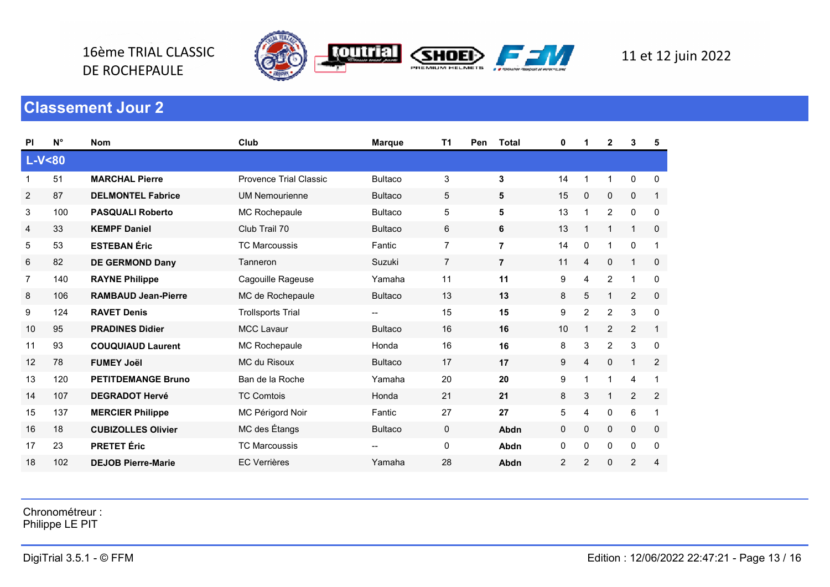

DE ROCHEPAULE

| <b>PI</b>      | $N^{\circ}$ | <b>Nom</b>                 | Club                     | <b>Marque</b>  | T <sub>1</sub><br>Pen | <b>Total</b>   | 0  | 1              | $\mathbf{2}$   | 3              | 5            |
|----------------|-------------|----------------------------|--------------------------|----------------|-----------------------|----------------|----|----------------|----------------|----------------|--------------|
|                | $L-V < 80$  |                            |                          |                |                       |                |    |                |                |                |              |
| 1              | 51          | <b>MARCHAL Pierre</b>      | Provence Trial Classic   | <b>Bultaco</b> | 3                     | 3              | 14 | 1              | 1              | 0              | 0            |
| $\overline{2}$ | 87          | <b>DELMONTEL Fabrice</b>   | <b>UM Nemourienne</b>    | <b>Bultaco</b> | 5                     | 5              | 15 | 0              | 0              | $\mathbf 0$    | $\mathbf{1}$ |
| 3              | 100         | <b>PASQUALI Roberto</b>    | MC Rochepaule            | <b>Bultaco</b> | 5                     | 5              | 13 | $\overline{1}$ | $\overline{2}$ | $\mathbf 0$    | 0            |
| 4              | 33          | <b>KEMPF Daniel</b>        | Club Trail 70            | <b>Bultaco</b> | 6                     | 6              | 13 |                | 1              | 1              | $\mathbf 0$  |
| 5              | 53          | <b>ESTEBAN Éric</b>        | <b>TC Marcoussis</b>     | Fantic         | $\overline{7}$        | $\overline{7}$ | 14 | 0              | 1              | $\mathbf 0$    | $\mathbf 1$  |
| 6              | 82          | <b>DE GERMOND Dany</b>     | Tanneron                 | Suzuki         | $\overline{7}$        | $\overline{7}$ | 11 | 4              | 0              | 1              | $\mathbf 0$  |
| $\overline{7}$ | 140         | <b>RAYNE Philippe</b>      | Cagouille Rageuse        | Yamaha         | 11                    | 11             | 9  | $\overline{4}$ | $\overline{2}$ | 1              | $\mathbf 0$  |
| 8              | 106         | <b>RAMBAUD Jean-Pierre</b> | MC de Rochepaule         | <b>Bultaco</b> | 13                    | 13             | 8  | 5              | $\mathbf{1}$   | 2              | $\mathbf 0$  |
| 9              | 124         | <b>RAVET Denis</b>         | <b>Trollsports Trial</b> | --             | 15                    | 15             | 9  | $\overline{2}$ | $\overline{2}$ | 3              | $\mathbf 0$  |
| 10             | 95          | <b>PRADINES Didier</b>     | <b>MCC Lavaur</b>        | <b>Bultaco</b> | 16                    | 16             | 10 | 1              | $\overline{2}$ | $\overline{2}$ | $\mathbf{1}$ |
| 11             | 93          | <b>COUQUIAUD Laurent</b>   | MC Rochepaule            | Honda          | 16                    | 16             | 8  | 3              | $\overline{2}$ | 3              | 0            |
| 12             | 78          | <b>FUMEY Joël</b>          | MC du Risoux             | <b>Bultaco</b> | 17                    | 17             | 9  | $\overline{4}$ | 0              | 1              | 2            |
| 13             | 120         | <b>PETITDEMANGE Bruno</b>  | Ban de la Roche          | Yamaha         | 20                    | 20             | 9  | 1              | 1              | 4              | 1            |
| 14             | 107         | <b>DEGRADOT Hervé</b>      | <b>TC Comtois</b>        | Honda          | 21                    | 21             | 8  | 3              | 1              | $\overline{2}$ | 2            |
| 15             | 137         | <b>MERCIER Philippe</b>    | MC Périgord Noir         | Fantic         | 27                    | 27             | 5  | $\overline{4}$ | 0              | 6              | $\mathbf 1$  |
| 16             | 18          | <b>CUBIZOLLES Olivier</b>  | MC des Étangs            | <b>Bultaco</b> | 0                     | Abdn           | 0  | 0              | 0              | $\mathbf 0$    | 0            |
| 17             | 23          | <b>PRETET Éric</b>         | <b>TC Marcoussis</b>     | --             | 0                     | Abdn           | 0  | 0              | 0              | $\mathbf 0$    | 0            |
| 18             | 102         | <b>DEJOB Pierre-Marie</b>  | <b>EC Verrières</b>      | Yamaha         | 28                    | Abdn           | 2  | $\overline{c}$ | 0              | $\overline{c}$ | 4            |

Chronométreur :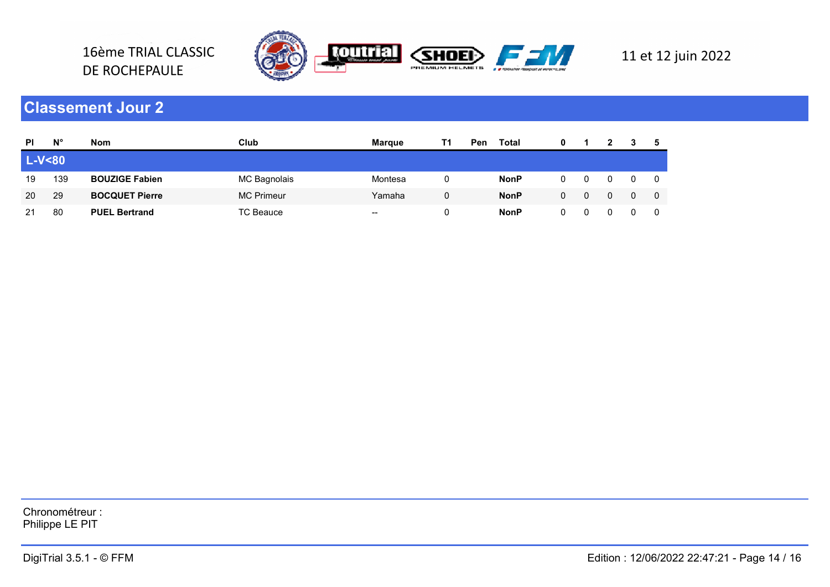

16ème TRIAL CLASSIC

DE ROCHEPAULE

| <b>PI</b>  | $N^{\circ}$ | <b>Nom</b>            | Club              | <b>Margue</b>     | Τ1 | Pen | Total       | 0 |  |  |  |
|------------|-------------|-----------------------|-------------------|-------------------|----|-----|-------------|---|--|--|--|
| $L-V < 80$ |             |                       |                   |                   |    |     |             |   |  |  |  |
| 19         | 139         | <b>BOUZIGE Fabien</b> | MC Bagnolais      | Montesa           |    |     | <b>NonP</b> |   |  |  |  |
| 20         | 29          | <b>BOCQUET Pierre</b> | <b>MC Primeur</b> | Yamaha            | 0  |     | <b>NonP</b> |   |  |  |  |
| 21         | 80          | <b>PUEL Bertrand</b>  | <b>TC Beauce</b>  | $\hspace{0.05cm}$ |    |     | <b>NonP</b> |   |  |  |  |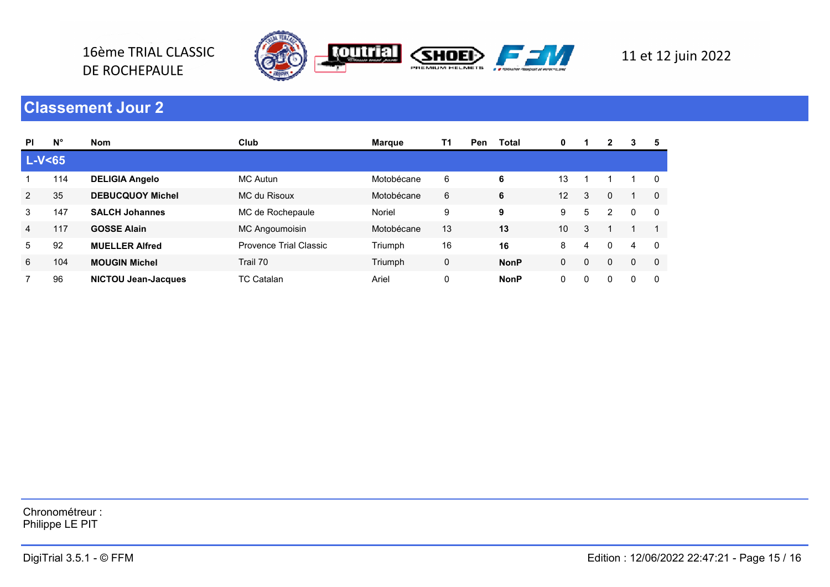

16ème TRIAL CLASSIC

DE ROCHEPAULE

| <b>PI</b>      | $N^{\circ}$ | <b>Nom</b>                 | Club                   | Marque     | T1 | <b>Pen</b> | <b>Total</b> | 0  |          | 2              | 3            | 5        |
|----------------|-------------|----------------------------|------------------------|------------|----|------------|--------------|----|----------|----------------|--------------|----------|
| $L-V65$        |             |                            |                        |            |    |            |              |    |          |                |              |          |
|                | 114         | <b>DELIGIA Angelo</b>      | <b>MC Autun</b>        | Motobécane | 6  |            | 6            | 13 |          |                |              | 0        |
| $\overline{2}$ | 35          | <b>DEBUCQUOY Michel</b>    | MC du Risoux           | Motobécane | 6  |            | 6            | 12 | 3        | 0              |              | $\Omega$ |
| 3              | 147         | <b>SALCH Johannes</b>      | MC de Rochepaule       | Noriel     | 9  |            | 9            | 9  | 5        | $\overline{2}$ | $\mathbf{0}$ | - 0      |
| 4              | 117         | <b>GOSSE Alain</b>         | MC Angoumoisin         | Motobécane | 13 |            | 13           | 10 | 3        |                |              |          |
| 5              | 92          | <b>MUELLER Alfred</b>      | Provence Trial Classic | Triumph    | 16 |            | 16           | 8  | 4        | 0              | 4            | $\Omega$ |
| 6              | 104         | <b>MOUGIN Michel</b>       | Trail 70               | Triumph    | 0  |            | <b>NonP</b>  | 0  | $\Omega$ | 0              | $\Omega$     | 0        |
|                | 96          | <b>NICTOU Jean-Jacques</b> | <b>TC Catalan</b>      | Ariel      | 0  |            | <b>NonP</b>  | 0  | $\Omega$ | 0              | $\Omega$     | $\Omega$ |